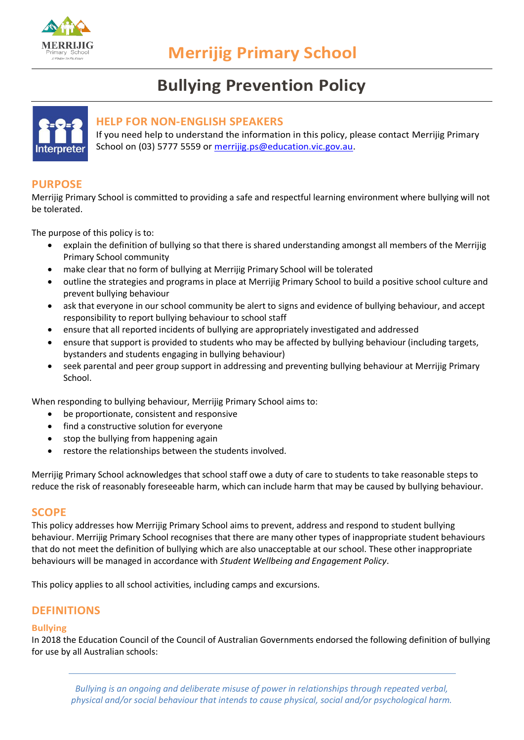

# **Bullying Prevention Policy**



## **HELP FOR NON-ENGLISH SPEAKERS**

If you need help to understand the information in this policy, please contact Merrijig Primary School on (03) 5777 5559 or [merrijig.ps@education.vic.gov.au.](mailto:merrijig.ps@education.vic.gov.au)

# **PURPOSE**

Merrijig Primary School is committed to providing a safe and respectful learning environment where bullying will not be tolerated.

The purpose of this policy is to:

- explain the definition of bullying so that there is shared understanding amongst all members of the Merrijig Primary School community
- make clear that no form of bullying at Merrijig Primary School will be tolerated
- outline the strategies and programs in place at Merrijig Primary School to build a positive school culture and prevent bullying behaviour
- ask that everyone in our school community be alert to signs and evidence of bullying behaviour, and accept responsibility to report bullying behaviour to school staff
- ensure that all reported incidents of bullying are appropriately investigated and addressed
- ensure that support is provided to students who may be affected by bullying behaviour (including targets, bystanders and students engaging in bullying behaviour)
- seek parental and peer group support in addressing and preventing bullying behaviour at Merrijig Primary School.

When responding to bullying behaviour, Merrijig Primary School aims to:

- be proportionate, consistent and responsive
- find a constructive solution for everyone
- stop the bullying from happening again
- restore the relationships between the students involved.

Merrijig Primary School acknowledges that school staff owe a duty of care to students to take reasonable steps to reduce the risk of reasonably foreseeable harm, which can include harm that may be caused by bullying behaviour.

## **SCOPE**

This policy addresses how Merrijig Primary School aims to prevent, address and respond to student bullying behaviour. Merrijig Primary School recognises that there are many other types of inappropriate student behaviours that do not meet the definition of bullying which are also unacceptable at our school. These other inappropriate behaviours will be managed in accordance with *Student Wellbeing and Engagement Policy*.

This policy applies to all school activities, including camps and excursions.

## **DEFINITIONS**

#### **Bullying**

In 2018 the Education Council of the Council of Australian Governments endorsed the following definition of bullying for use by all Australian schools: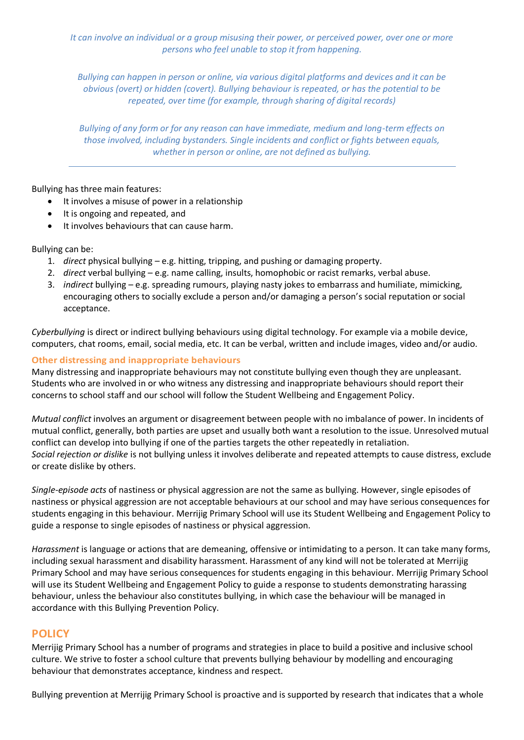*It can involve an individual or a group misusing their power, or perceived power, over one or more persons who feel unable to stop it from happening.*

*Bullying can happen in person or online, via various digital platforms and devices and it can be obvious (overt) or hidden (covert). Bullying behaviour is repeated, or has the potential to be repeated, over time (for example, through sharing of digital records)*

*Bullying of any form or for any reason can have immediate, medium and long-term effects on those involved, including bystanders. Single incidents and conflict or fights between equals, whether in person or online, are not defined as bullying.* 

Bullying has three main features:

- It involves a misuse of power in a relationship
- It is ongoing and repeated, and
- It involves behaviours that can cause harm.

Bullying can be:

- 1. *direct* physical bullying e.g. hitting, tripping, and pushing or damaging property.
- 2. *direct* verbal bullying e.g. name calling, insults, homophobic or racist remarks, verbal abuse.
- 3. *indirect* bullying e.g. spreading rumours, playing nasty jokes to embarrass and humiliate, mimicking, encouraging others to socially exclude a person and/or damaging a person's social reputation or social acceptance.

*Cyberbullying* is direct or indirect bullying behaviours using digital technology. For example via a mobile device, computers, chat rooms, email, social media, etc. It can be verbal, written and include images, video and/or audio.

#### **Other distressing and inappropriate behaviours**

Many distressing and inappropriate behaviours may not constitute bullying even though they are unpleasant. Students who are involved in or who witness any distressing and inappropriate behaviours should report their concerns to school staff and our school will follow the Student Wellbeing and Engagement Policy.

*Mutual conflict* involves an argument or disagreement between people with no imbalance of power. In incidents of mutual conflict, generally, both parties are upset and usually both want a resolution to the issue. Unresolved mutual conflict can develop into bullying if one of the parties targets the other repeatedly in retaliation. *Social rejection or dislike* is not bullying unless it involves deliberate and repeated attempts to cause distress, exclude or create dislike by others.

*Single-episode acts* of nastiness or physical aggression are not the same as bullying. However, single episodes of nastiness or physical aggression are not acceptable behaviours at our school and may have serious consequences for students engaging in this behaviour. Merrijig Primary School will use its Student Wellbeing and Engagement Policy to guide a response to single episodes of nastiness or physical aggression.

*Harassment* is language or actions that are demeaning, offensive or intimidating to a person. It can take many forms, including sexual harassment and disability harassment. Harassment of any kind will not be tolerated at Merrijig Primary School and may have serious consequences for students engaging in this behaviour. Merrijig Primary School will use its Student Wellbeing and Engagement Policy to guide a response to students demonstrating harassing behaviour, unless the behaviour also constitutes bullying, in which case the behaviour will be managed in accordance with this Bullying Prevention Policy.

## **POLICY**

Merrijig Primary School has a number of programs and strategies in place to build a positive and inclusive school culture. We strive to foster a school culture that prevents bullying behaviour by modelling and encouraging behaviour that demonstrates acceptance, kindness and respect.

Bullying prevention at Merrijig Primary School is proactive and is supported by research that indicates that a whole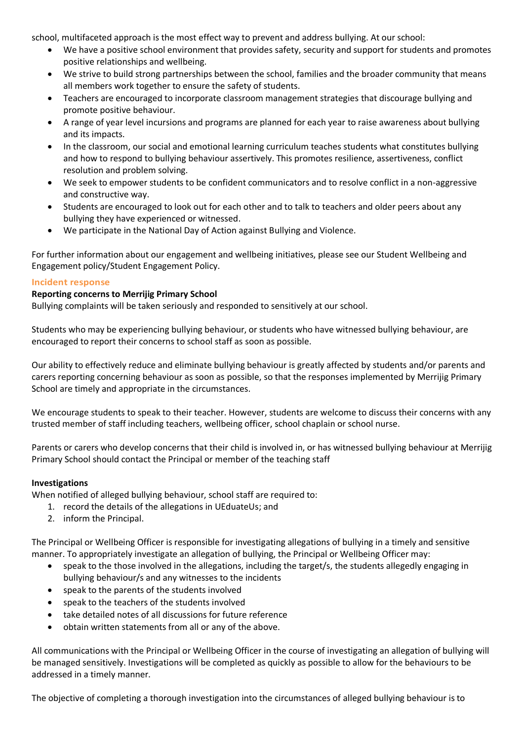school, multifaceted approach is the most effect way to prevent and address bullying. At our school:

- We have a positive school environment that provides safety, security and support for students and promotes positive relationships and wellbeing.
- We strive to build strong partnerships between the school, families and the broader community that means all members work together to ensure the safety of students.
- Teachers are encouraged to incorporate classroom management strategies that discourage bullying and promote positive behaviour.
- A range of year level incursions and programs are planned for each year to raise awareness about bullying and its impacts.
- In the classroom, our social and emotional learning curriculum teaches students what constitutes bullying and how to respond to bullying behaviour assertively. This promotes resilience, assertiveness, conflict resolution and problem solving.
- We seek to empower students to be confident communicators and to resolve conflict in a non-aggressive and constructive way.
- Students are encouraged to look out for each other and to talk to teachers and older peers about any bullying they have experienced or witnessed.
- We participate in the National Day of Action against Bullying and Violence.

For further information about our engagement and wellbeing initiatives, please see our Student Wellbeing and Engagement policy/Student Engagement Policy.

#### **Incident response**

#### **Reporting concerns to Merrijig Primary School**

Bullying complaints will be taken seriously and responded to sensitively at our school.

Students who may be experiencing bullying behaviour, or students who have witnessed bullying behaviour, are encouraged to report their concerns to school staff as soon as possible.

Our ability to effectively reduce and eliminate bullying behaviour is greatly affected by students and/or parents and carers reporting concerning behaviour as soon as possible, so that the responses implemented by Merrijig Primary School are timely and appropriate in the circumstances.

We encourage students to speak to their teacher. However, students are welcome to discuss their concerns with any trusted member of staff including teachers, wellbeing officer, school chaplain or school nurse.

Parents or carers who develop concerns that their child is involved in, or has witnessed bullying behaviour at Merrijig Primary School should contact the Principal or member of the teaching staff

## **Investigations**

When notified of alleged bullying behaviour, school staff are required to:

- 1. record the details of the allegations in UEduateUs; and
- 2. inform the Principal.

The Principal or Wellbeing Officer is responsible for investigating allegations of bullying in a timely and sensitive manner. To appropriately investigate an allegation of bullying, the Principal or Wellbeing Officer may:

- speak to the those involved in the allegations, including the target/s, the students allegedly engaging in bullying behaviour/s and any witnesses to the incidents
- speak to the parents of the students involved
- speak to the teachers of the students involved
- take detailed notes of all discussions for future reference
- obtain written statements from all or any of the above.

All communications with the Principal or Wellbeing Officer in the course of investigating an allegation of bullying will be managed sensitively. Investigations will be completed as quickly as possible to allow for the behaviours to be addressed in a timely manner.

The objective of completing a thorough investigation into the circumstances of alleged bullying behaviour is to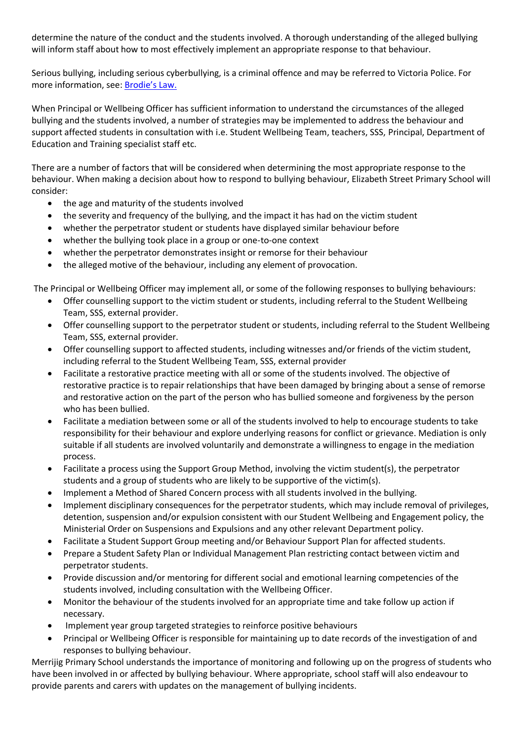determine the nature of the conduct and the students involved. A thorough understanding of the alleged bullying will inform staff about how to most effectively implement an appropriate response to that behaviour.

Serious bullying, including serious cyberbullying, is a criminal offence and may be referred to Victoria Police. For more information, see: [Brodie's Law.](http://www.education.vic.gov.au/about/programs/bullystoppers/Pages/advicesheetbrodieslaw.aspx)

When Principal or Wellbeing Officer has sufficient information to understand the circumstances of the alleged bullying and the students involved, a number of strategies may be implemented to address the behaviour and support affected students in consultation with i.e. Student Wellbeing Team, teachers, SSS, Principal, Department of Education and Training specialist staff etc.

There are a number of factors that will be considered when determining the most appropriate response to the behaviour. When making a decision about how to respond to bullying behaviour, Elizabeth Street Primary School will consider:

- the age and maturity of the students involved
- the severity and frequency of the bullying, and the impact it has had on the victim student
- whether the perpetrator student or students have displayed similar behaviour before
- whether the bullying took place in a group or one-to-one context
- whether the perpetrator demonstrates insight or remorse for their behaviour
- the alleged motive of the behaviour, including any element of provocation.

The Principal or Wellbeing Officer may implement all, or some of the following responses to bullying behaviours:

- Offer counselling support to the victim student or students, including referral to the Student Wellbeing Team, SSS, external provider.
- Offer counselling support to the perpetrator student or students, including referral to the Student Wellbeing Team, SSS, external provider.
- Offer counselling support to affected students, including witnesses and/or friends of the victim student, including referral to the Student Wellbeing Team, SSS, external provider
- Facilitate a restorative practice meeting with all or some of the students involved. The objective of restorative practice is to repair relationships that have been damaged by bringing about a sense of remorse and restorative action on the part of the person who has bullied someone and forgiveness by the person who has been bullied.
- Facilitate a mediation between some or all of the students involved to help to encourage students to take responsibility for their behaviour and explore underlying reasons for conflict or grievance. Mediation is only suitable if all students are involved voluntarily and demonstrate a willingness to engage in the mediation process.
- Facilitate a process using the Support Group Method, involving the victim student(s), the perpetrator students and a group of students who are likely to be supportive of the victim(s).
- Implement a Method of Shared Concern process with all students involved in the bullying.
- Implement disciplinary consequences for the perpetrator students, which may include removal of privileges, detention, suspension and/or expulsion consistent with our Student Wellbeing and Engagement policy, the Ministerial Order on Suspensions and Expulsions and any other relevant Department policy.
- Facilitate a Student Support Group meeting and/or Behaviour Support Plan for affected students.
- Prepare a Student Safety Plan or Individual Management Plan restricting contact between victim and perpetrator students.
- Provide discussion and/or mentoring for different social and emotional learning competencies of the students involved, including consultation with the Wellbeing Officer.
- Monitor the behaviour of the students involved for an appropriate time and take follow up action if necessary.
- Implement year group targeted strategies to reinforce positive behaviours
- Principal or Wellbeing Officer is responsible for maintaining up to date records of the investigation of and responses to bullying behaviour.

Merrijig Primary School understands the importance of monitoring and following up on the progress of students who have been involved in or affected by bullying behaviour. Where appropriate, school staff will also endeavour to provide parents and carers with updates on the management of bullying incidents.